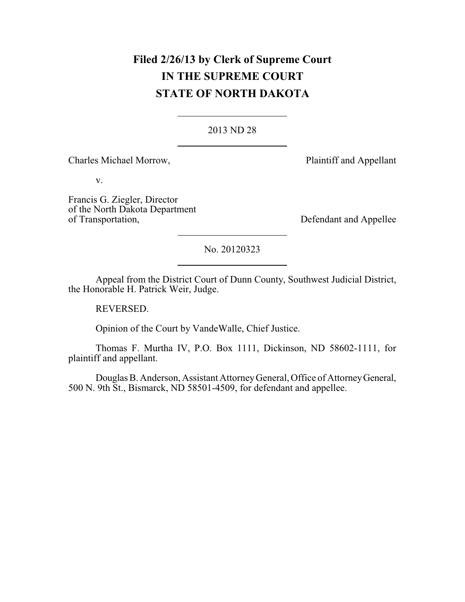# **Filed 2/26/13 by Clerk of Supreme Court IN THE SUPREME COURT STATE OF NORTH DAKOTA**

### 2013 ND 28

Charles Michael Morrow, Plaintiff and Appellant

v.

Francis G. Ziegler, Director of the North Dakota Department

Defendant and Appellee

No. 20120323

Appeal from the District Court of Dunn County, Southwest Judicial District, the Honorable H. Patrick Weir, Judge.

REVERSED.

Opinion of the Court by VandeWalle, Chief Justice.

Thomas F. Murtha IV, P.O. Box 1111, Dickinson, ND 58602-1111, for plaintiff and appellant.

Douglas B. Anderson, Assistant AttorneyGeneral, Office of AttorneyGeneral, 500 N. 9th St., Bismarck, ND 58501-4509, for defendant and appellee.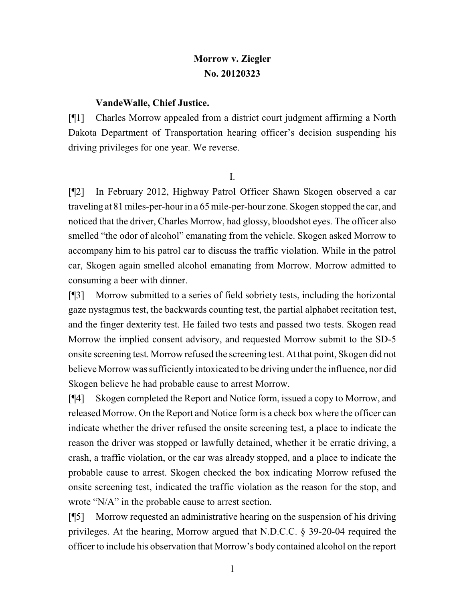# **Morrow v. Ziegler No. 20120323**

#### **VandeWalle, Chief Justice.**

[¶1] Charles Morrow appealed from a district court judgment affirming a North Dakota Department of Transportation hearing officer's decision suspending his driving privileges for one year. We reverse.

I.

[¶2] In February 2012, Highway Patrol Officer Shawn Skogen observed a car traveling at 81 miles-per-hour in a 65 mile-per-hour zone. Skogen stopped the car, and noticed that the driver, Charles Morrow, had glossy, bloodshot eyes. The officer also smelled "the odor of alcohol" emanating from the vehicle. Skogen asked Morrow to accompany him to his patrol car to discuss the traffic violation. While in the patrol car, Skogen again smelled alcohol emanating from Morrow. Morrow admitted to consuming a beer with dinner.

[¶3] Morrow submitted to a series of field sobriety tests, including the horizontal gaze nystagmus test, the backwards counting test, the partial alphabet recitation test, and the finger dexterity test. He failed two tests and passed two tests. Skogen read Morrow the implied consent advisory, and requested Morrow submit to the SD-5 onsite screening test. Morrow refused the screening test. At that point, Skogen did not believe Morrow was sufficiently intoxicated to be driving under the influence, nor did Skogen believe he had probable cause to arrest Morrow.

[¶4] Skogen completed the Report and Notice form, issued a copy to Morrow, and released Morrow. On the Report and Notice form is a check box where the officer can indicate whether the driver refused the onsite screening test, a place to indicate the reason the driver was stopped or lawfully detained, whether it be erratic driving, a crash, a traffic violation, or the car was already stopped, and a place to indicate the probable cause to arrest. Skogen checked the box indicating Morrow refused the onsite screening test, indicated the traffic violation as the reason for the stop, and wrote "N/A" in the probable cause to arrest section.

[¶5] Morrow requested an administrative hearing on the suspension of his driving privileges. At the hearing, Morrow argued that N.D.C.C. § 39-20-04 required the officer to include his observation that Morrow's body contained alcohol on the report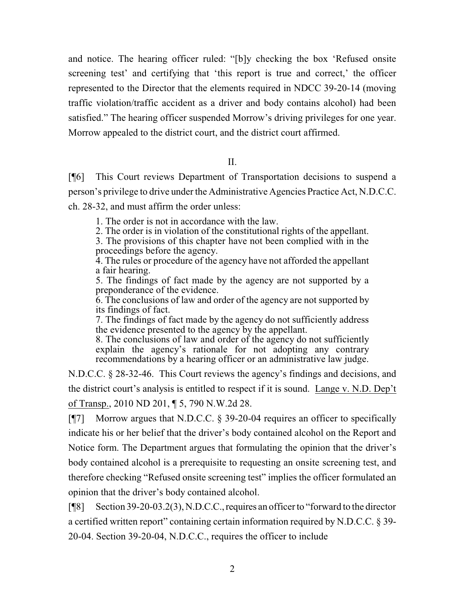and notice. The hearing officer ruled: "[b]y checking the box 'Refused onsite screening test' and certifying that 'this report is true and correct,' the officer represented to the Director that the elements required in NDCC 39-20-14 (moving traffic violation/traffic accident as a driver and body contains alcohol) had been satisfied." The hearing officer suspended Morrow's driving privileges for one year. Morrow appealed to the district court, and the district court affirmed.

#### II.

[¶6] This Court reviews Department of Transportation decisions to suspend a person's privilege to drive under the Administrative Agencies Practice Act, N.D.C.C. ch. 28-32, and must affirm the order unless:

1. The order is not in accordance with the law.

2. The order is in violation of the constitutional rights of the appellant.

3. The provisions of this chapter have not been complied with in the proceedings before the agency.

4. The rules or procedure of the agency have not afforded the appellant a fair hearing.

5. The findings of fact made by the agency are not supported by a preponderance of the evidence.

6. The conclusions of law and order of the agency are not supported by its findings of fact.

7. The findings of fact made by the agency do not sufficiently address the evidence presented to the agency by the appellant.

8. The conclusions of law and order of the agency do not sufficiently explain the agency's rationale for not adopting any contrary recommendations by a hearing officer or an administrative law judge.

N.D.C.C. § 28-32-46. This Court reviews the agency's findings and decisions, and the district court's analysis is entitled to respect if it is sound. Lange v. N.D. Dep't of Transp., 2010 ND 201, ¶ 5, 790 N.W.2d 28.

[¶7] Morrow argues that N.D.C.C. § 39-20-04 requires an officer to specifically indicate his or her belief that the driver's body contained alcohol on the Report and Notice form. The Department argues that formulating the opinion that the driver's body contained alcohol is a prerequisite to requesting an onsite screening test, and therefore checking "Refused onsite screening test" implies the officer formulated an opinion that the driver's body contained alcohol.

[¶8] Section 39-20-03.2(3), N.D.C.C.,requires an officer to "forward to the director a certified written report" containing certain information required by N.D.C.C. § 39- 20-04. Section 39-20-04, N.D.C.C., requires the officer to include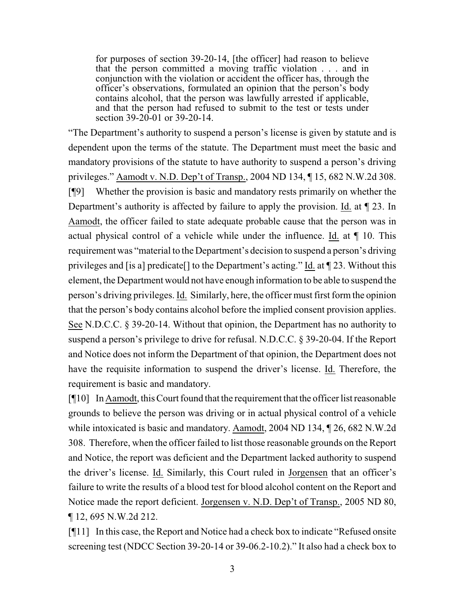for purposes of section 39-20-14, [the officer] had reason to believe that the person committed a moving traffic violation . . . and in conjunction with the violation or accident the officer has, through the officer's observations, formulated an opinion that the person's body contains alcohol, that the person was lawfully arrested if applicable, and that the person had refused to submit to the test or tests under section 39-20-01 or 39-20-14.

"The Department's authority to suspend a person's license is given by statute and is dependent upon the terms of the statute. The Department must meet the basic and mandatory provisions of the statute to have authority to suspend a person's driving privileges." Aamodt v. N.D. Dep't of Transp., 2004 ND 134, ¶ 15, 682 N.W.2d 308. [¶9] Whether the provision is basic and mandatory rests primarily on whether the Department's authority is affected by failure to apply the provision. Id. at ¶ 23. In Aamodt, the officer failed to state adequate probable cause that the person was in actual physical control of a vehicle while under the influence. Id. at ¶ 10. This requirement was "material to the Department's decision to suspend a person's driving privileges and [is a] predicate[] to the Department's acting." Id. at ¶ 23. Without this element, the Department would not have enough information to be able to suspend the person's driving privileges. Id. Similarly, here, the officer must first form the opinion that the person's body contains alcohol before the implied consent provision applies. See N.D.C.C. § 39-20-14. Without that opinion, the Department has no authority to suspend a person's privilege to drive for refusal. N.D.C.C. § 39-20-04. If the Report and Notice does not inform the Department of that opinion, the Department does not have the requisite information to suspend the driver's license. Id. Therefore, the requirement is basic and mandatory.

[¶10] In Aamodt, this Court found that the requirement that the officer list reasonable grounds to believe the person was driving or in actual physical control of a vehicle while intoxicated is basic and mandatory. Aamodt, 2004 ND 134, ¶ 26, 682 N.W.2d 308. Therefore, when the officer failed to list those reasonable grounds on the Report and Notice, the report was deficient and the Department lacked authority to suspend the driver's license. Id. Similarly, this Court ruled in Jorgensen that an officer's failure to write the results of a blood test for blood alcohol content on the Report and Notice made the report deficient. Jorgensen v. N.D. Dep't of Transp., 2005 ND 80, ¶ 12, 695 N.W.2d 212.

[¶11] In this case, the Report and Notice had a check box to indicate "Refused onsite screening test (NDCC Section 39-20-14 or 39-06.2-10.2)." It also had a check box to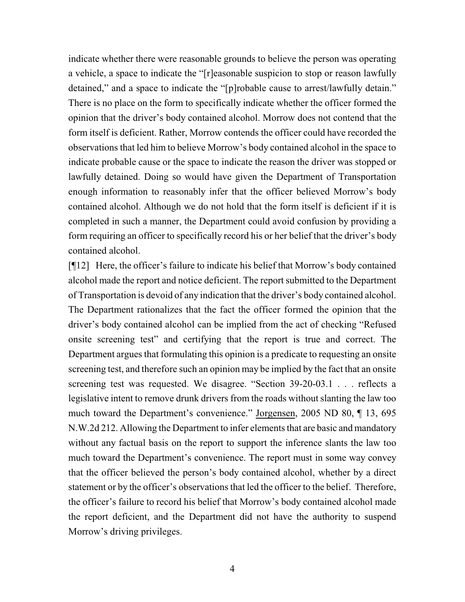indicate whether there were reasonable grounds to believe the person was operating a vehicle, a space to indicate the "[r]easonable suspicion to stop or reason lawfully detained," and a space to indicate the "[p]robable cause to arrest/lawfully detain." There is no place on the form to specifically indicate whether the officer formed the opinion that the driver's body contained alcohol. Morrow does not contend that the form itself is deficient. Rather, Morrow contends the officer could have recorded the observations that led him to believe Morrow's body contained alcohol in the space to indicate probable cause or the space to indicate the reason the driver was stopped or lawfully detained. Doing so would have given the Department of Transportation enough information to reasonably infer that the officer believed Morrow's body contained alcohol. Although we do not hold that the form itself is deficient if it is completed in such a manner, the Department could avoid confusion by providing a form requiring an officer to specifically record his or her belief that the driver's body contained alcohol.

[¶12] Here, the officer's failure to indicate his belief that Morrow's body contained alcohol made the report and notice deficient. The report submitted to the Department of Transportation is devoid of any indication that the driver's body contained alcohol. The Department rationalizes that the fact the officer formed the opinion that the driver's body contained alcohol can be implied from the act of checking "Refused onsite screening test" and certifying that the report is true and correct. The Department argues that formulating this opinion is a predicate to requesting an onsite screening test, and therefore such an opinion may be implied by the fact that an onsite screening test was requested. We disagree. "Section 39-20-03.1 . . . reflects a legislative intent to remove drunk drivers from the roads without slanting the law too much toward the Department's convenience." Jorgensen, 2005 ND 80, ¶ 13, 695 N.W.2d 212. Allowing the Department to infer elements that are basic and mandatory without any factual basis on the report to support the inference slants the law too much toward the Department's convenience. The report must in some way convey that the officer believed the person's body contained alcohol, whether by a direct statement or by the officer's observations that led the officer to the belief. Therefore, the officer's failure to record his belief that Morrow's body contained alcohol made the report deficient, and the Department did not have the authority to suspend Morrow's driving privileges.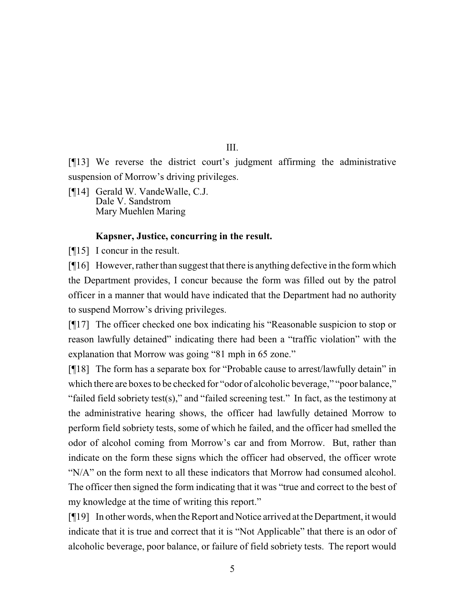[¶13] We reverse the district court's judgment affirming the administrative suspension of Morrow's driving privileges.

[¶14] Gerald W. VandeWalle, C.J. Dale V. Sandstrom Mary Muehlen Maring

## **Kapsner, Justice, concurring in the result.**

[¶15] I concur in the result.

[¶16] However, rather than suggest that there is anything defective in the formwhich the Department provides, I concur because the form was filled out by the patrol officer in a manner that would have indicated that the Department had no authority to suspend Morrow's driving privileges.

[¶17] The officer checked one box indicating his "Reasonable suspicion to stop or reason lawfully detained" indicating there had been a "traffic violation" with the explanation that Morrow was going "81 mph in 65 zone."

[¶18] The form has a separate box for "Probable cause to arrest/lawfully detain" in which there are boxes to be checked for "odor of alcoholic beverage," "poor balance," "failed field sobriety test(s)," and "failed screening test." In fact, as the testimony at the administrative hearing shows, the officer had lawfully detained Morrow to perform field sobriety tests, some of which he failed, and the officer had smelled the odor of alcohol coming from Morrow's car and from Morrow. But, rather than indicate on the form these signs which the officer had observed, the officer wrote "N/A" on the form next to all these indicators that Morrow had consumed alcohol. The officer then signed the form indicating that it was "true and correct to the best of my knowledge at the time of writing this report."

[¶19] In other words, when the Report and Notice arrived at the Department, it would indicate that it is true and correct that it is "Not Applicable" that there is an odor of alcoholic beverage, poor balance, or failure of field sobriety tests. The report would

III.